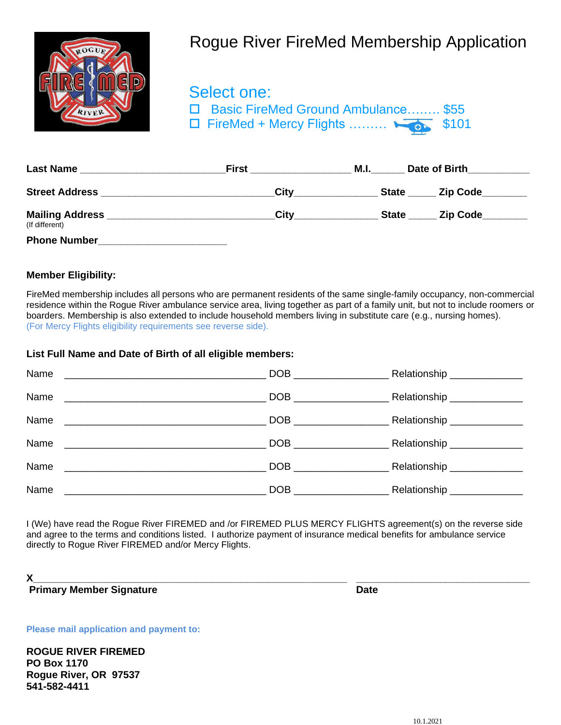

## Rogue River FireMed Membership Application

 Select one: □ Basic FireMed Ground Ambulance........ \$55  $\Box$  FireMed + Mercy Flights ………  $\Box$  \$101

| <b>Last Name</b>                         | <b>First</b> | M.I.<br>Date of Birth |                 |  |
|------------------------------------------|--------------|-----------------------|-----------------|--|
| <b>Street Address</b>                    | City         | <b>State</b>          | <b>Zip Code</b> |  |
| <b>Mailing Address</b><br>(If different) | City         | <b>State</b>          | <b>Zip Code</b> |  |
| <b>Phone Number</b>                      |              |                       |                 |  |

## **Member Eligibility:**

FireMed membership includes all persons who are permanent residents of the same single-family occupancy, non-commercial residence within the Rogue River ambulance service area, living together as part of a family unit, but not to include roomers or boarders. Membership is also extended to include household members living in substitute care (e.g., nursing homes). (For Mercy Flights eligibility requirements see reverse side).

## **List Full Name and Date of Birth of all eligible members:**

| Name                                                    |                | Relationship _______________ |
|---------------------------------------------------------|----------------|------------------------------|
| Name                                                    |                | Relationship ______________  |
| Name                                                    |                | Relationship ______________  |
| Name                                                    |                | Relationship _______________ |
| Name                                                    | DOB <b>DOB</b> | Relationship _______________ |
| Name<br><u> 1989 - Andrea Barbara, poeta esperanto-</u> |                | Relationship _______________ |

I (We) have read the Rogue River FIREMED and /or FIREMED PLUS MERCY FLIGHTS agreement(s) on the reverse side and agree to the terms and conditions listed. I authorize payment of insurance medical benefits for ambulance service directly to Rogue River FIREMED and/or Mercy Flights.

**X\_\_\_\_\_\_\_\_\_\_\_\_\_\_\_\_\_\_\_\_\_\_\_\_\_\_\_\_\_\_\_\_\_\_\_\_\_\_\_\_\_\_\_\_\_\_\_\_\_\_\_\_\_\_\_\_ \_\_\_\_\_\_\_\_\_\_\_\_\_\_\_\_\_\_\_\_\_\_\_\_\_\_\_\_\_\_\_**

**Primary Member Signature Community Community Community Community Community Community Community Community Community** 

**Please mail application and payment to:**

**ROGUE RIVER FIREMED PO Box 1170 Rogue River, OR 97537 541-582-4411**